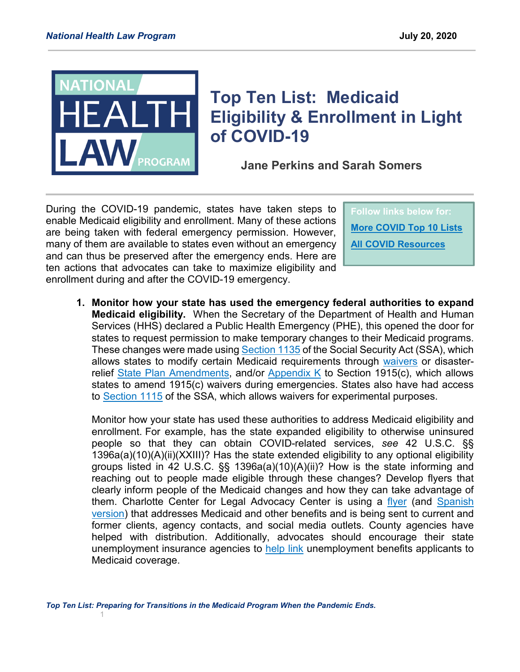

## **Top Ten List: Medicaid Eligibility & Enrollment in Light of COVID-19**

**Jane Perkins and Sarah Somers**

During the COVID-19 pandemic, states have taken steps to enable Medicaid eligibility and enrollment. Many of these actions are being taken with federal emergency permission. However, many of them are available to states even without an emergency and can thus be preserved after the emergency ends. Here are ten actions that advocates can take to maximize eligibility and enrollment during and after the COVID-19 emergency.

**Follow links below for: [More COVID Top 10 Lists](https://healthlaw.org/medicaid-covid-top-10-series/) [All COVID Resources](https://healthlaw.org/coronavirus-resources/)**

**1. Monitor how your state has used the emergency federal authorities to expand Medicaid eligibility.** When the Secretary of the Department of Health and Human Services (HHS) declared a Public Health Emergency (PHE), this opened the door for states to request permission to make temporary changes to their Medicaid programs. These changes were made using [Section 1135](https://www.cms.gov/Medicare/Provider-Enrollment-and-Certification/SurveyCertEmergPrep/1135-Waivers) of the Social Security Act (SSA), which allows states to modify certain Medicaid requirements through [waivers](https://www.cms.gov/Medicare/Provider-Enrollment-and-Certification/SurveyCertEmergPrep/Downloads/1135-Waivers-Authority.pdf) or disaster-relief [State Plan Amendments,](https://www.medicaid.gov/resources-for-states/disaster-response-toolkit/state-plan-flexibilities/index.html) and/or [Appendix K](https://www.medicaid.gov/medicaid/home-community-based-services/downloads/1915c-appendix-k-instructions.pdf) to Section 1915(c), which allows states to amend 1915(c) waivers during emergencies. States also have had access to [Section 1115](https://www.medicaid.gov/medicaid/section-1115-demonstrations/1115-application-process/index.html) of the SSA, which allows waivers for experimental purposes.

Monitor how your state has used these authorities to address Medicaid eligibility and enrollment. For example, has the state expanded eligibility to otherwise uninsured people so that they can obtain COVID-related services, *see* 42 U.S.C. §§ 1396a(a)(10)(A)(ii)(XXIII)? Has the state extended eligibility to any optional eligibility groups listed in 42 U.S.C. §§ 1396a(a)(10)(A)(ii)? How is the state informing and reaching out to people made eligible through these changes? Develop flyers that clearly inform people of the Medicaid changes and how they can take advantage of them. Charlotte Center for Legal Advocacy Center is using a [flyer](https://healthlaw.org/wp-content/uploads/2020/07/COVID-19-Flyer-English.pdf) (and Spanish [version\)](https://healthlaw.org/wp-content/uploads/2020/07/COVID-19-Flyer-Spanish-Revised.pdf) that addresses Medicaid and other benefits and is being sent to current and former clients, agency contacts, and social media outlets. County agencies have helped with distribution. Additionally, advocates should encourage their state unemployment insurance agencies to [help link](https://www.brookings.edu/research/making-aca-enrollment-more-automatic-for-the-newly-unemployed/) unemployment benefits applicants to Medicaid coverage.

*Top Ten List: Preparing for Transitions in the Medicaid Program When the Pandemic Ends.* 1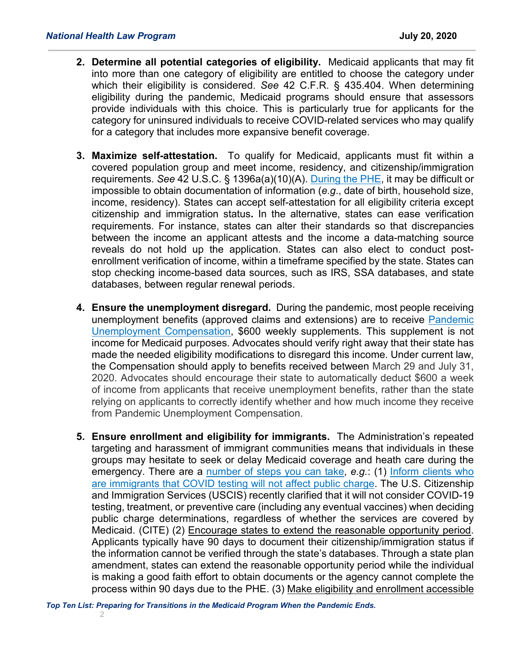- **2. Determine all potential categories of eligibility.** Medicaid applicants that may fit into more than one category of eligibility are entitled to choose the category under which their eligibility is considered. *See* 42 C.F.R. § 435.404. When determining eligibility during the pandemic, Medicaid programs should ensure that assessors provide individuals with this choice. This is particularly true for applicants for the category for uninsured individuals to receive COVID-related services who may qualify for a category that includes more expansive benefit coverage.
- **3. Maximize self-attestation.** To qualify for Medicaid, applicants must fit within a covered population group and meet income, residency, and citizenship/immigration requirements. *See* 42 U.S.C. § 1396a(a)(10)(A). [During the PHE,](https://healthlaw.org/streamlining-medicaid-enrollment-during-covid-19/) it may be difficult or impossible to obtain documentation of information (*e.g*., date of birth, household size, income, residency). States can accept self-attestation for all eligibility criteria except citizenship and immigration status**.** In the alternative, states can ease verification requirements. For instance, states can alter their standards so that discrepancies between the income an applicant attests and the income a data-matching source reveals do not hold up the application. States can also elect to conduct postenrollment verification of income, within a timeframe specified by the state. States can stop checking income-based data sources, such as IRS, SSA databases, and state databases, between regular renewal periods.
- **4. Ensure the unemployment disregard.** During the pandemic, most people receiving unemployment benefits (approved claims and extensions) are to receive [Pandemic](https://www.uc.pa.gov/COVID-19/CARES-Act/Pages/FPUC-FAQs.aspx)  [Unemployment Compensation,](https://www.uc.pa.gov/COVID-19/CARES-Act/Pages/FPUC-FAQs.aspx) \$600 weekly supplements. This supplement is not income for Medicaid purposes. Advocates should verify right away that their state has made the needed eligibility modifications to disregard this income. Under current law, the Compensation should apply to benefits received between March 29 and July 31, 2020. Advocates should encourage their state to automatically deduct \$600 a week of income from applicants that receive unemployment benefits, rather than the state relying on applicants to correctly identify whether and how much income they receive from Pandemic Unemployment Compensation.
- **5. Ensure enrollment and eligibility for immigrants.** The Administration's repeated targeting and harassment of immigrant communities means that individuals in these groups may hesitate to seek or delay Medicaid coverage and heath care during the emergency. There are a [number of steps you can take,](https://healthlaw.org/resource/top-ten-list-coverage-of-covid-testing-and-treatment-for-immigrants/) *e.g.*: (1) [Inform clients who](https://www.uscis.gov/green-card/green-card-processes-and-procedures/public-charge)  [are immigrants that COVID testing will not affect public charge.](https://www.uscis.gov/green-card/green-card-processes-and-procedures/public-charge) The U.S. Citizenship and Immigration Services (USCIS) recently clarified that it will not consider COVID-19 testing, treatment, or preventive care (including any eventual vaccines) when deciding public charge determinations, regardless of whether the services are covered by Medicaid. (CITE) (2) Encourage states to extend the reasonable opportunity period. Applicants typically have 90 days to document their citizenship/immigration status if the information cannot be verified through the state's databases. Through a state plan amendment, states can extend the reasonable opportunity period while the individual is making a good faith effort to obtain documents or the agency cannot complete the process within 90 days due to the PHE. (3) Make eligibility and enrollment accessible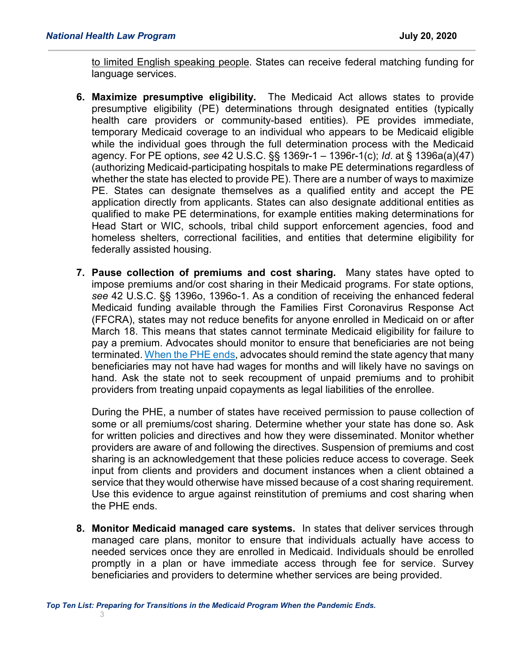to limited English speaking people. States can receive federal matching funding for language services.

- **6. Maximize presumptive eligibility.** The Medicaid Act allows states to provide presumptive eligibility (PE) determinations through designated entities (typically health care providers or community-based entities). PE provides immediate, temporary Medicaid coverage to an individual who appears to be Medicaid eligible while the individual goes through the full determination process with the Medicaid agency. For PE options, *see* 42 U.S.C. §§ 1369r-1 – 1396r-1(c); *Id*. at § 1396a(a)(47) (authorizing Medicaid-participating hospitals to make PE determinations regardless of whether the state has elected to provide PE). There are a number of ways to maximize PE. States can designate themselves as a qualified entity and accept the PE application directly from applicants. States can also designate additional entities as qualified to make PE determinations, for example entities making determinations for Head Start or WIC, schools, tribal child support enforcement agencies, food and homeless shelters, correctional facilities, and entities that determine eligibility for federally assisted housing.
- **7. Pause collection of premiums and cost sharing.** Many states have opted to impose premiums and/or cost sharing in their Medicaid programs. For state options, *see* 42 U.S.C. §§ 1396o, 1396o-1. As a condition of receiving the enhanced federal Medicaid funding available through the Families First Coronavirus Response Act (FFCRA), states may not reduce benefits for anyone enrolled in Medicaid on or after March 18. This means that states cannot terminate Medicaid eligibility for failure to pay a premium. Advocates should monitor to ensure that beneficiaries are not being terminated[. When the PHE ends,](https://healthlaw.org/resource/top-ten-list-transitions-in-the-medicaid-program-in-light-of-covid-19/) advocates should remind the state agency that many beneficiaries may not have had wages for months and will likely have no savings on hand. Ask the state not to seek recoupment of unpaid premiums and to prohibit providers from treating unpaid copayments as legal liabilities of the enrollee.

During the PHE, a number of states have received permission to pause collection of some or all premiums/cost sharing. Determine whether your state has done so. Ask for written policies and directives and how they were disseminated. Monitor whether providers are aware of and following the directives. Suspension of premiums and cost sharing is an acknowledgement that these policies reduce access to coverage. Seek input from clients and providers and document instances when a client obtained a service that they would otherwise have missed because of a cost sharing requirement. Use this evidence to argue against reinstitution of premiums and cost sharing when the PHE ends.

**8. Monitor Medicaid managed care systems.** In states that deliver services through managed care plans, monitor to ensure that individuals actually have access to needed services once they are enrolled in Medicaid. Individuals should be enrolled promptly in a plan or have immediate access through fee for service. Survey beneficiaries and providers to determine whether services are being provided.